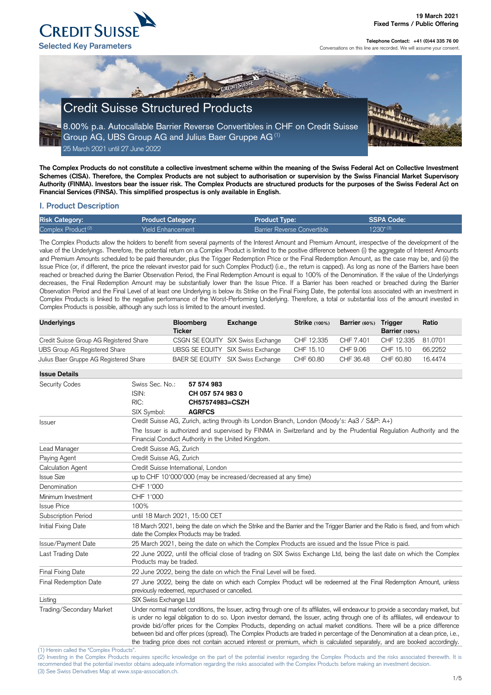(1) Herein called the "Complex Products".

(2) Investing in the Complex Products requires specific knowledge on the part of the potential investor regarding the Complex Products and the risks associated therewith. It is recommended that the potential investor obtains adequate information regarding the risks associated with the Complex Products before making an investment decision. (3) See Swiss Derivatives Map at www.sspa-association.ch.



**Telephone Contact: +41 (0)44 335 76 00** Conversations on this line are recorded. We will assume your consent.

**The Complex Products do not constitute a collective investment scheme within the meaning of the Swiss Federal Act on Collective Investment Schemes (CISA). Therefore, the Complex Products are not subject to authorisation or supervision by the Swiss Financial Market Supervisory Authority (FINMA). Investors bear the issuer risk. The Complex Products are structured products for the purposes of the Swiss Federal Act on Financial Services (FINSA). This simplified prospectus is only available in English.**

# **I. Product Description**

| <b>Risk Category:</b>          | <b>Product Category:</b> | <b>Product Type:</b>               | SSPA Code:    |
|--------------------------------|--------------------------|------------------------------------|---------------|
| Complex Product <sup>(2)</sup> | Yield Enhancement        | <b>Barrier Reverse Convertible</b> | $1230^{*(3)}$ |

The Complex Products allow the holders to benefit from several payments of the Interest Amount and Premium Amount, irrespective of the development of the value of the Underlyings. Therefore, the potential return on a Complex Product is limited to the positive difference between (i) the aggregate of Interest Amounts and Premium Amounts scheduled to be paid thereunder, plus the Trigger Redemption Price or the Final Redemption Amount, as the case may be, and (ii) the Issue Price (or, if different, the price the relevant investor paid for such Complex Product) (i.e., the return is capped). As long as none of the Barriers have been reached or breached during the Barrier Observation Period, the Final Redemption Amount is equal to 100% of the Denomination. If the value of the Underlyings decreases, the Final Redemption Amount may be substantially lower than the Issue Price. If a Barrier has been reached or breached during the Barrier Observation Period and the Final Level of at least one Underlying is below its Strike on the Final Fixing Date, the potential loss associated with an investment in Complex Products is linked to the negative performance of the Worst-Performing Underlying. Therefore, a total or substantial loss of the amount invested in Complex Products is possible, although any such loss is limited to the amount invested.

| <b>Underlyings</b>                      | <b>Bloomberg</b><br><b>Ticker</b> | <b>Exchange</b>                   | <b>Strike</b> (100%) | Barrier (60%) | <b>Trigger</b><br>Barrier $(100%)$ | Ratio   |
|-----------------------------------------|-----------------------------------|-----------------------------------|----------------------|---------------|------------------------------------|---------|
| Credit Suisse Group AG Registered Share |                                   | CSGN SE EQUITY SIX Swiss Exchange | CHF 12.335           | CHF 7.401     | CHF 12.335 81.0701                 |         |
| UBS Group AG Registered Share           |                                   | UBSG SE EQUITY SIX Swiss Exchange | CHF 15.10            | CHF 9.06      | CHF 15.10                          | 66.2252 |
| Julius Baer Gruppe AG Registered Share  |                                   | BAER SE EQUITY SIX Swiss Exchange | CHF 60.80            | CHF 36.48     | CHF 60.80                          | 16.4474 |

| <b>Issue Details</b>                                                 |                                                                                                                                                                                                                                                                                                                                                                                                                                                                                                                                                                                                                                                                          |                                                                                                     |  |  |
|----------------------------------------------------------------------|--------------------------------------------------------------------------------------------------------------------------------------------------------------------------------------------------------------------------------------------------------------------------------------------------------------------------------------------------------------------------------------------------------------------------------------------------------------------------------------------------------------------------------------------------------------------------------------------------------------------------------------------------------------------------|-----------------------------------------------------------------------------------------------------|--|--|
| <b>Security Codes</b>                                                | Swiss Sec. No.:<br>ISIN:<br>RIC:                                                                                                                                                                                                                                                                                                                                                                                                                                                                                                                                                                                                                                         | 57 574 983<br>CH 057 574 983 0<br>CH57574983=CSZH                                                   |  |  |
|                                                                      | SIX Symbol:                                                                                                                                                                                                                                                                                                                                                                                                                                                                                                                                                                                                                                                              | <b>AGRFCS</b>                                                                                       |  |  |
| <b>Issuer</b>                                                        |                                                                                                                                                                                                                                                                                                                                                                                                                                                                                                                                                                                                                                                                          | Credit Suisse AG, Zurich, acting through its London Branch, London (Moody's: Aa3 / S&P: A+)         |  |  |
|                                                                      | The Issuer is authorized and supervised by FINMA in Switzerland and by the Prudential Regulation Authority and the<br>Financial Conduct Authority in the United Kingdom.                                                                                                                                                                                                                                                                                                                                                                                                                                                                                                 |                                                                                                     |  |  |
| Lead Manager                                                         | Credit Suisse AG, Zurich                                                                                                                                                                                                                                                                                                                                                                                                                                                                                                                                                                                                                                                 |                                                                                                     |  |  |
| Paying Agent                                                         |                                                                                                                                                                                                                                                                                                                                                                                                                                                                                                                                                                                                                                                                          | Credit Suisse AG, Zurich                                                                            |  |  |
| <b>Calculation Agent</b>                                             | Credit Suisse International, London                                                                                                                                                                                                                                                                                                                                                                                                                                                                                                                                                                                                                                      |                                                                                                     |  |  |
| <b>Issue Size</b>                                                    | up to CHF 10'000'000 (may be increased/decreased at any time)                                                                                                                                                                                                                                                                                                                                                                                                                                                                                                                                                                                                            |                                                                                                     |  |  |
| Denomination                                                         | CHF 1'000                                                                                                                                                                                                                                                                                                                                                                                                                                                                                                                                                                                                                                                                |                                                                                                     |  |  |
| Minimum Investment                                                   | CHF 1'000                                                                                                                                                                                                                                                                                                                                                                                                                                                                                                                                                                                                                                                                |                                                                                                     |  |  |
| <b>Issue Price</b>                                                   | 100%                                                                                                                                                                                                                                                                                                                                                                                                                                                                                                                                                                                                                                                                     |                                                                                                     |  |  |
| Subscription Period                                                  | until 18 March 2021, 15:00 CET                                                                                                                                                                                                                                                                                                                                                                                                                                                                                                                                                                                                                                           |                                                                                                     |  |  |
| Initial Fixing Date                                                  | 18 March 2021, being the date on which the Strike and the Barrier and the Trigger Barrier and the Ratio is fixed, and from which<br>date the Complex Products may be traded.                                                                                                                                                                                                                                                                                                                                                                                                                                                                                             |                                                                                                     |  |  |
| Issue/Payment Date                                                   |                                                                                                                                                                                                                                                                                                                                                                                                                                                                                                                                                                                                                                                                          | 25 March 2021, being the date on which the Complex Products are issued and the Issue Price is paid. |  |  |
| Last Trading Date                                                    | 22 June 2022, until the official close of trading on SIX Swiss Exchange Ltd, being the last date on which the Complex<br>Products may be traded.                                                                                                                                                                                                                                                                                                                                                                                                                                                                                                                         |                                                                                                     |  |  |
| <b>Final Fixing Date</b>                                             | 22 June 2022, being the date on which the Final Level will be fixed.                                                                                                                                                                                                                                                                                                                                                                                                                                                                                                                                                                                                     |                                                                                                     |  |  |
| Final Redemption Date                                                | 27 June 2022, being the date on which each Complex Product will be redeemed at the Final Redemption Amount, unless<br>previously redeemed, repurchased or cancelled.                                                                                                                                                                                                                                                                                                                                                                                                                                                                                                     |                                                                                                     |  |  |
| Listing                                                              | SIX Swiss Exchange Ltd                                                                                                                                                                                                                                                                                                                                                                                                                                                                                                                                                                                                                                                   |                                                                                                     |  |  |
| Trading/Secondary Market<br>(1) Horoin called the "Complex Producte" | Under normal market conditions, the Issuer, acting through one of its affiliates, will endeavour to provide a secondary market, but<br>is under no legal obligation to do so. Upon investor demand, the Issuer, acting through one of its affiliates, will endeavour to<br>provide bid/offer prices for the Complex Products, depending on actual market conditions. There will be a price difference<br>between bid and offer prices (spread). The Complex Products are traded in percentage of the Denomination at a clean price, i.e.,<br>the trading price does not contain accrued interest or premium, which is calculated separately, and are booked accordingly. |                                                                                                     |  |  |

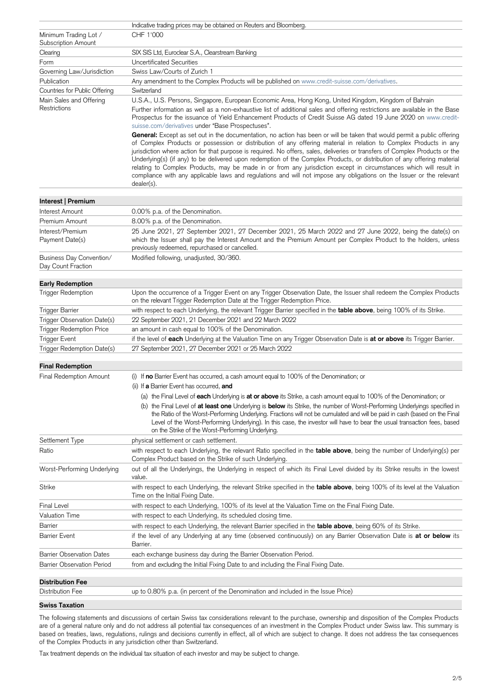|                                                     | Indicative trading prices may be obtained on Reuters and Bloomberg.                                                                                                                                                                                                                                                                                                                                                                                                                                                                                                                                                                                                                                                                                                    |
|-----------------------------------------------------|------------------------------------------------------------------------------------------------------------------------------------------------------------------------------------------------------------------------------------------------------------------------------------------------------------------------------------------------------------------------------------------------------------------------------------------------------------------------------------------------------------------------------------------------------------------------------------------------------------------------------------------------------------------------------------------------------------------------------------------------------------------------|
| Minimum Trading Lot /<br><b>Subscription Amount</b> | CHF 1'000                                                                                                                                                                                                                                                                                                                                                                                                                                                                                                                                                                                                                                                                                                                                                              |
| Clearing                                            | SIX SIS Ltd, Euroclear S.A., Clearstream Banking                                                                                                                                                                                                                                                                                                                                                                                                                                                                                                                                                                                                                                                                                                                       |
| Form                                                | <b>Uncertificated Securities</b>                                                                                                                                                                                                                                                                                                                                                                                                                                                                                                                                                                                                                                                                                                                                       |
| Governing Law/Jurisdiction                          | Swiss Law/Courts of Zurich 1                                                                                                                                                                                                                                                                                                                                                                                                                                                                                                                                                                                                                                                                                                                                           |
| Publication                                         | Any amendment to the Complex Products will be published on www.credit-suisse.com/derivatives.                                                                                                                                                                                                                                                                                                                                                                                                                                                                                                                                                                                                                                                                          |
| Countries for Public Offering                       | Switzerland                                                                                                                                                                                                                                                                                                                                                                                                                                                                                                                                                                                                                                                                                                                                                            |
| Main Sales and Offering                             | U.S.A., U.S. Persons, Singapore, European Economic Area, Hong Kong, United Kingdom, Kingdom of Bahrain                                                                                                                                                                                                                                                                                                                                                                                                                                                                                                                                                                                                                                                                 |
| Restrictions                                        | Further information as well as a non-exhaustive list of additional sales and offering restrictions are available in the Base<br>Prospectus for the issuance of Yield Enhancement Products of Credit Suisse AG dated 19 June 2020 on www.credit-<br>suisse.com/derivatives under "Base Prospectuses".                                                                                                                                                                                                                                                                                                                                                                                                                                                                   |
|                                                     | General: Except as set out in the documentation, no action has been or will be taken that would permit a public offering<br>of Complex Products or possession or distribution of any offering material in relation to Complex Products in any<br>jurisdiction where action for that purpose is required. No offers, sales, deliveries or transfers of Complex Products or the<br>Underlying(s) (if any) to be delivered upon redemption of the Complex Products, or distribution of any offering material<br>relating to Complex Products, may be made in or from any jurisdiction except in circumstances which will result in<br>compliance with any applicable laws and regulations and will not impose any obligations on the Issuer or the relevant<br>dealer(s). |
| Interest   Premium                                  |                                                                                                                                                                                                                                                                                                                                                                                                                                                                                                                                                                                                                                                                                                                                                                        |
| Interest Amount                                     | 0.00% p.a. of the Denomination.                                                                                                                                                                                                                                                                                                                                                                                                                                                                                                                                                                                                                                                                                                                                        |
| Premium Amount                                      | 8.00% p.a. of the Denomination.                                                                                                                                                                                                                                                                                                                                                                                                                                                                                                                                                                                                                                                                                                                                        |
| Interest/Premium<br>Payment Date(s)                 | 25 June 2021, 27 September 2021, 27 December 2021, 25 March 2022 and 27 June 2022, being the date(s) on<br>which the Issuer shall pay the Interest Amount and the Premium Amount per Complex Product to the holders, unless<br>previously redeemed, repurchased or cancelled.                                                                                                                                                                                                                                                                                                                                                                                                                                                                                          |
| Business Day Convention/<br>Day Count Fraction      | Modified following, unadjusted, 30/360.                                                                                                                                                                                                                                                                                                                                                                                                                                                                                                                                                                                                                                                                                                                                |
| <b>Early Redemption</b>                             |                                                                                                                                                                                                                                                                                                                                                                                                                                                                                                                                                                                                                                                                                                                                                                        |
| <b>Trigger Redemption</b>                           | Upon the occurrence of a Trigger Event on any Trigger Observation Date, the Issuer shall redeem the Complex Products<br>on the relevant Trigger Redemption Date at the Trigger Redemption Price.                                                                                                                                                                                                                                                                                                                                                                                                                                                                                                                                                                       |
| Trigger Barrier                                     | with respect to each Underlying, the relevant Trigger Barrier specified in the table above, being 100% of its Strike.                                                                                                                                                                                                                                                                                                                                                                                                                                                                                                                                                                                                                                                  |
| Trigger Observation Date(s)                         | 22 September 2021, 21 December 2021 and 22 March 2022                                                                                                                                                                                                                                                                                                                                                                                                                                                                                                                                                                                                                                                                                                                  |
| <b>Trigger Redemption Price</b>                     | an amount in cash equal to 100% of the Denomination.                                                                                                                                                                                                                                                                                                                                                                                                                                                                                                                                                                                                                                                                                                                   |
| <b>Trigger Event</b>                                | if the level of each Underlying at the Valuation Time on any Trigger Observation Date is at or above its Trigger Barrier.                                                                                                                                                                                                                                                                                                                                                                                                                                                                                                                                                                                                                                              |
| Trigger Redemption Date(s)                          | 27 September 2021, 27 December 2021 or 25 March 2022                                                                                                                                                                                                                                                                                                                                                                                                                                                                                                                                                                                                                                                                                                                   |
| <b>Final Redemption</b>                             |                                                                                                                                                                                                                                                                                                                                                                                                                                                                                                                                                                                                                                                                                                                                                                        |
| <b>Final Redemption Amount</b>                      | (i) If no Barrier Event has occurred, a cash amount equal to 100% of the Denomination; or                                                                                                                                                                                                                                                                                                                                                                                                                                                                                                                                                                                                                                                                              |
|                                                     | (ii) If a Barrier Event has occurred, and                                                                                                                                                                                                                                                                                                                                                                                                                                                                                                                                                                                                                                                                                                                              |
|                                                     | (a) the Final Level of each Underlying is at or above its Strike, a cash amount equal to 100% of the Denomination; or                                                                                                                                                                                                                                                                                                                                                                                                                                                                                                                                                                                                                                                  |
|                                                     | (b) the Final Level of at least one Underlying is below its Strike, the number of Worst-Performing Underlyings specified in<br>the Ratio of the Worst-Performing Underlying. Fractions will not be cumulated and will be paid in cash (based on the Final<br>Level of the Worst-Performing Underlying). In this case, the investor will have to bear the usual transaction fees, based<br>on the Strike of the Worst-Performing Underlying.                                                                                                                                                                                                                                                                                                                            |
| Settlement Type                                     | physical settlement or cash settlement.                                                                                                                                                                                                                                                                                                                                                                                                                                                                                                                                                                                                                                                                                                                                |
| Ratio                                               | with respect to each Underlying, the relevant Ratio specified in the table above, being the number of Underlying(s) per<br>Complex Product based on the Strike of such Underlying.                                                                                                                                                                                                                                                                                                                                                                                                                                                                                                                                                                                     |
| Worst-Performing Underlying                         | out of all the Underlyings, the Underlying in respect of which its Final Level divided by its Strike results in the lowest<br>value.                                                                                                                                                                                                                                                                                                                                                                                                                                                                                                                                                                                                                                   |
| <b>Strike</b>                                       | with respect to each Underlying, the relevant Strike specified in the table above, being 100% of its level at the Valuation<br>Time on the Initial Fixing Date.                                                                                                                                                                                                                                                                                                                                                                                                                                                                                                                                                                                                        |
| <b>Final Level</b>                                  | with respect to each Underlying, 100% of its level at the Valuation Time on the Final Fixing Date.                                                                                                                                                                                                                                                                                                                                                                                                                                                                                                                                                                                                                                                                     |
| <b>Valuation Time</b>                               | with respect to each Underlying, its scheduled closing time.                                                                                                                                                                                                                                                                                                                                                                                                                                                                                                                                                                                                                                                                                                           |

| Barrier                           | with respect to each Underlying, the relevant Barrier specified in the <b>table above</b> , being 60% of its Strike.              |
|-----------------------------------|-----------------------------------------------------------------------------------------------------------------------------------|
| <b>Barrier Event</b>              | if the level of any Underlying at any time (observed continuously) on any Barrier Observation Date is at or below its<br>Barrier. |
| <b>Barrier Observation Dates</b>  | each exchange business day during the Barrier Observation Period.                                                                 |
| <b>Barrier Observation Period</b> | from and excluding the Initial Fixing Date to and including the Final Fixing Date.                                                |
|                                   |                                                                                                                                   |
| <b>Distribution Fee</b>           |                                                                                                                                   |
| Distribution Fee                  | up to 0.80% p.a. (in percent of the Denomination and included in the Issue Price)                                                 |

## **Swiss Taxation**

The following statements and discussions of certain Swiss tax considerations relevant to the purchase, ownership and disposition of the Complex Products are of a general nature only and do not address all potential tax consequences of an investment in the Complex Product under Swiss law. This summary is based on treaties, laws, regulations, rulings and decisions currently in effect, all of which are subject to change. It does not address the tax consequences of the Complex Products in any jurisdiction other than Switzerland.

Tax treatment depends on the individual tax situation of each investor and may be subject to change.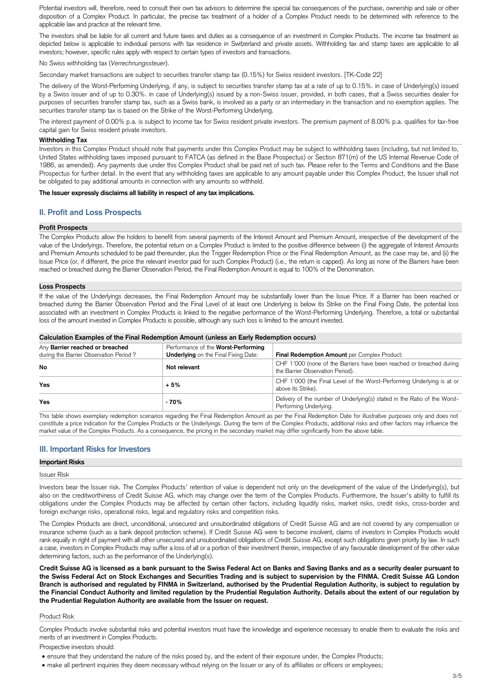Potential investors will, therefore, need to consult their own tax advisors to determine the special tax consequences of the purchase, ownership and sale or other disposition of a Complex Product. In particular, the precise tax treatment of a holder of a Complex Product needs to be determined with reference to the applicable law and practice at the relevant time.

The investors shall be liable for all current and future taxes and duties as a consequence of an investment in Complex Products. The income tax treatment as depicted below is applicable to individual persons with tax residence in Switzerland and private assets. Withholding tax and stamp taxes are applicable to all investors; however, specific rules apply with respect to certain types of investors and transactions.

No Swiss withholding tax (*Verrechnungssteuer*).

Secondary market transactions are subject to securities transfer stamp tax (0.15%) for Swiss resident investors. [TK-Code 22]

The delivery of the Worst-Performing Underlying, if any, is subject to securities transfer stamp tax at a rate of up to 0.15%. in case of Underlying(s) issued by a Swiss issuer and of up to 0.30%. in case of Underlying(s) issued by a non-Swiss issuer, provided, in both cases, that a Swiss securities dealer for purposes of securities transfer stamp tax, such as a Swiss bank, is involved as a party or an intermediary in the transaction and no exemption applies. The securities transfer stamp tax is based on the Strike of the Worst-Performing Underlying.

The interest payment of 0.00% p.a. is subject to income tax for Swiss resident private investors. The premium payment of 8.00% p.a. qualifies for tax-free capital gain for Swiss resident private investors.

#### **Withholding Tax**

Investors in this Complex Product should note that payments under this Complex Product may be subject to withholding taxes (including, but not limited to, United States withholding taxes imposed pursuant to FATCA (as defined in the Base Prospectus) or Section 871(m) of the US Internal Revenue Code of 1986, as amended). Any payments due under this Complex Product shall be paid net of such tax. Please refer to the Terms and Conditions and the Base Prospectus for further detail. In the event that any withholding taxes are applicable to any amount payable under this Complex Product, the Issuer shall not be obligated to pay additional amounts in connection with any amounts so withheld.

### **The Issuer expressly disclaims all liability in respect of any tax implications.**

## **II. Profit and Loss Prospects**

#### **Profit Prospects**

The Complex Products allow the holders to benefit from several payments of the Interest Amount and Premium Amount, irrespective of the development of the value of the Underlyings. Therefore, the potential return on a Complex Product is limited to the positive difference between (i) the aggregate of Interest Amounts and Premium Amounts scheduled to be paid thereunder, plus the Trigger Redemption Price or the Final Redemption Amount, as the case may be, and (ii) the Issue Price (or, if different, the price the relevant investor paid for such Complex Product) (i.e., the return is capped). As long as none of the Barriers have been reached or breached during the Barrier Observation Period, the Final Redemption Amount is equal to 100% of the Denomination.

### **Loss Prospects**

If the value of the Underlyings decreases, the Final Redemption Amount may be substantially lower than the Issue Price. If a Barrier has been reached or breached during the Barrier Observation Period and the Final Level of at least one Underlying is below its Strike on the Final Fixing Date, the potential loss associated with an investment in Complex Products is linked to the negative performance of the Worst-Performing Underlying. Therefore, a total or substantial loss of the amount invested in Complex Products is possible, although any such loss is limited to the amount invested.

| Calculation Examples of the Final Redemption Amount (unless an Early Redemption occurs) |                                                                                    |                                                                                                          |  |  |
|-----------------------------------------------------------------------------------------|------------------------------------------------------------------------------------|----------------------------------------------------------------------------------------------------------|--|--|
| Any Barrier reached or breached<br>during the Barrier Observation Period?               | Performance of the Worst-Performing<br><b>Underlying</b> on the Final Fixing Date: | Final Redemption Amount per Complex Product:                                                             |  |  |
| <b>No</b>                                                                               | Not relevant                                                                       | CHF 1'000 (none of the Barriers have been reached or breached during<br>the Barrier Observation Period). |  |  |
| <b>Yes</b>                                                                              | $+5%$                                                                              | CHF 1'000 (the Final Level of the Worst-Performing Underlying is at or<br>above its Strike).             |  |  |
| <b>Yes</b>                                                                              | $-70%$                                                                             | Delivery of the number of Underlying(s) stated in the Ratio of the Worst-<br>Performing Underlying.      |  |  |

This table shows exemplary redemption scenarios regarding the Final Redemption Amount as per the Final Redemption Date for illustrative purposes only and does not constitute a price indication for the Complex Products or the Underlyings. During the term of the Complex Products, additional risks and other factors may influence the market value of the Complex Products. As a consequence, the pricing in the secondary market may differ significantly from the above table.

# **III. Important Risks for Investors**

### **Important Risks**

#### Issuer Risk

Investors bear the Issuer risk. The Complex Products' retention of value is dependent not only on the development of the value of the Underlying(s), but also on the creditworthiness of Credit Suisse AG, which may change over the term of the Complex Products. Furthermore, the Issuer's ability to fulfill its obligations under the Complex Products may be affected by certain other factors, including liquidity risks, market risks, credit risks, cross-border and foreign exchange risks, operational risks, legal and regulatory risks and competition risks.

The Complex Products are direct, unconditional, unsecured and unsubordinated obligations of Credit Suisse AG and are not covered by any compensation or insurance scheme (such as a bank deposit protection scheme). If Credit Suisse AG were to become insolvent, claims of investors in Complex Products would rank equally in right of payment with all other unsecured and unsubordinated obligations of Credit Suisse AG, except such obligations given priority by law. In such a case, investors in Complex Products may suffer a loss of all or a portion of their investment therein, irrespective of any favourable development of the other value determining factors, such as the performance of the Underlying(s).

**Credit Suisse AG is licensed as a bank pursuant to the Swiss Federal Act on Banks and Saving Banks and as a security dealer pursuant to the Swiss Federal Act on Stock Exchanges and Securities Trading and is subject to supervision by the FINMA. Credit Suisse AG London Branch is authorised and regulated by FINMA in Switzerland, authorised by the Prudential Regulation Authority, is subject to regulation by the Financial Conduct Authority and limited regulation by the Prudential Regulation Authority. Details about the extent of our regulation by the Prudential Regulation Authority are available from the Issuer on request.**

#### Product Risk

Complex Products involve substantial risks and potential investors must have the knowledge and experience necessary to enable them to evaluate the risks and merits of an investment in Complex Products.

Prospective investors should:

- ensure that they understand the nature of the risks posed by, and the extent of their exposure under, the Complex Products;
- make all pertinent inquiries they deem necessary without relying on the Issuer or any of its affiliates or officers or employees;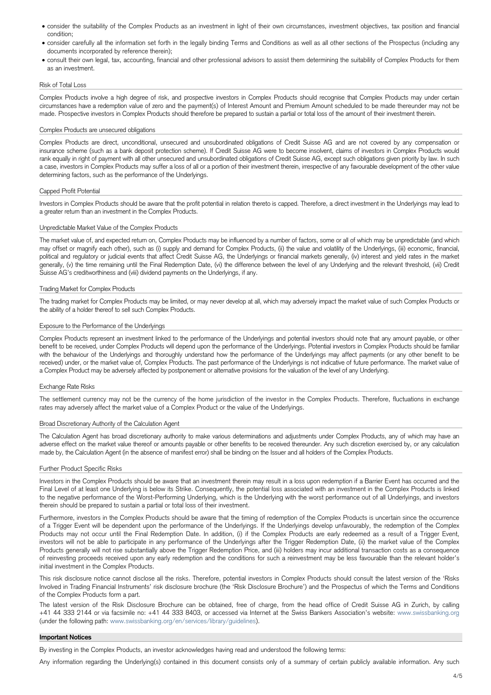- consider the suitability of the Complex Products as an investment in light of their own circumstances, investment objectives, tax position and financial condition;
- consider carefully all the information set forth in the legally binding Terms and Conditions as well as all other sections of the Prospectus (including any documents incorporated by reference therein);
- consult their own legal, tax, accounting, financial and other professional advisors to assist them determining the suitability of Complex Products for them as an investment.

#### Risk of Total Loss

Complex Products involve a high degree of risk, and prospective investors in Complex Products should recognise that Complex Products may under certain circumstances have a redemption value of zero and the payment(s) of Interest Amount and Premium Amount scheduled to be made thereunder may not be made. Prospective investors in Complex Products should therefore be prepared to sustain a partial or total loss of the amount of their investment therein.

#### Complex Products are unsecured obligations

Complex Products are direct, unconditional, unsecured and unsubordinated obligations of Credit Suisse AG and are not covered by any compensation or insurance scheme (such as a bank deposit protection scheme). If Credit Suisse AG were to become insolvent, claims of investors in Complex Products would rank equally in right of payment with all other unsecured and unsubordinated obligations of Credit Suisse AG, except such obligations given priority by law. In such a case, investors in Complex Products may suffer a loss of all or a portion of their investment therein, irrespective of any favourable development of the other value determining factors, such as the performance of the Underlyings.

## Capped Profit Potential

Investors in Complex Products should be aware that the profit potential in relation thereto is capped. Therefore, a direct investment in the Underlyings may lead to a greater return than an investment in the Complex Products.

### Unpredictable Market Value of the Complex Products

The market value of, and expected return on, Complex Products may be influenced by a number of factors, some or all of which may be unpredictable (and which may offset or magnify each other), such as (i) supply and demand for Complex Products, (ii) the value and volatility of the Underlyings, (iii) economic, financial, political and regulatory or judicial events that affect Credit Suisse AG, the Underlyings or financial markets generally, (iv) interest and yield rates in the market generally, (v) the time remaining until the Final Redemption Date, (vi) the difference between the level of any Underlying and the relevant threshold, (vii) Credit Suisse AG's creditworthiness and (viii) dividend payments on the Underlyings, if any.

#### Trading Market for Complex Products

The trading market for Complex Products may be limited, or may never develop at all, which may adversely impact the market value of such Complex Products or the ability of a holder thereof to sell such Complex Products.

#### Exposure to the Performance of the Underlyings

Complex Products represent an investment linked to the performance of the Underlyings and potential investors should note that any amount payable, or other benefit to be received, under Complex Products will depend upon the performance of the Underlyings. Potential investors in Complex Products should be familiar with the behaviour of the Underlyings and thoroughly understand how the performance of the Underlyings may affect payments (or any other benefit to be received) under, or the market value of, Complex Products. The past performance of the Underlyings is not indicative of future performance. The market value of a Complex Product may be adversely affected by postponement or alternative provisions for the valuation of the level of any Underlying.

### Exchange Rate Risks

The settlement currency may not be the currency of the home jurisdiction of the investor in the Complex Products. Therefore, fluctuations in exchange rates may adversely affect the market value of a Complex Product or the value of the Underlyings.

#### Broad Discretionary Authority of the Calculation Agent

The Calculation Agent has broad discretionary authority to make various determinations and adjustments under Complex Products, any of which may have an adverse effect on the market value thereof or amounts payable or other benefits to be received thereunder. Any such discretion exercised by, or any calculation made by, the Calculation Agent (in the absence of manifest error) shall be binding on the Issuer and all holders of the Complex Products.

#### Further Product Specific Risks

Investors in the Complex Products should be aware that an investment therein may result in a loss upon redemption if a Barrier Event has occurred and the Final Level of at least one Underlying is below its Strike. Consequently, the potential loss associated with an investment in the Complex Products is linked to the negative performance of the Worst-Performing Underlying, which is the Underlying with the worst performance out of all Underlyings, and investors therein should be prepared to sustain a partial or total loss of their investment.

Furthermore, investors in the Complex Products should be aware that the timing of redemption of the Complex Products is uncertain since the occurrence of a Trigger Event will be dependent upon the performance of the Underlyings. If the Underlyings develop unfavourably, the redemption of the Complex Products may not occur until the Final Redemption Date. In addition, (i) if the Complex Products are early redeemed as a result of a Trigger Event, investors will not be able to participate in any performance of the Underlyings after the Trigger Redemption Date, (ii) the market value of the Complex Products generally will not rise substantially above the Trigger Redemption Price, and (iii) holders may incur additional transaction costs as a consequence of reinvesting proceeds received upon any early redemption and the conditions for such a reinvestment may be less favourable than the relevant holder's initial investment in the Complex Products.

This risk disclosure notice cannot disclose all the risks. Therefore, potential investors in Complex Products should consult the latest version of the 'Risks Involved in Trading Financial Instruments' risk disclosure brochure (the 'Risk Disclosure Brochure') and the Prospectus of which the Terms and Conditions of the Complex Products form a part.

The latest version of the Risk Disclosure Brochure can be obtained, free of charge, from the head office of Credit Suisse AG in Zurich, by calling +41 44 333 2144 or via facsimile no: +41 44 333 8403, or accessed via Internet at the Swiss Bankers Association's website: www.swissbanking.org (under the following path: [www.swissbanking.org/en/services/library/guidelines\)](http://www.swissbanking.org/en/services/library/guidelines).

#### **Important Notices**

By investing in the Complex Products, an investor acknowledges having read and understood the following terms:

Any information regarding the Underlying(s) contained in this document consists only of a summary of certain publicly available information. Any such